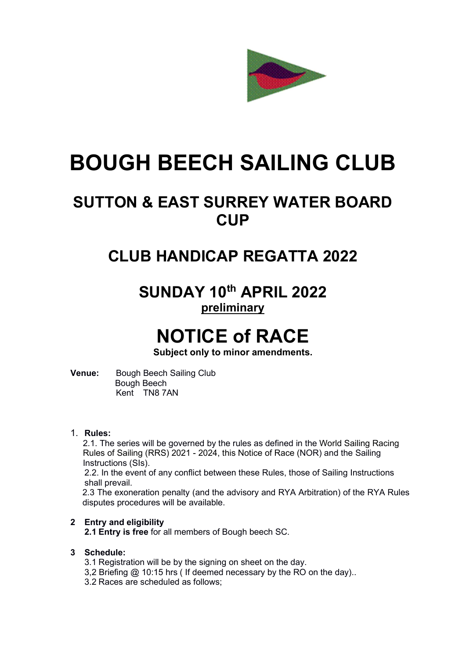

# BOUGH BEECH SAILING CLUB

### SUTTON & EAST SURREY WATER BOARD **CUP**

### CLUB HANDICAP REGATTA 2022

SUNDAY 10th APRIL 2022 preliminary

## NOTICE of RACE

Subject only to minor amendments.

Venue: Bough Beech Sailing Club Bough Beech Kent TN8 7AN

#### 1. Rules:

2.1. The series will be governed by the rules as defined in the World Sailing Racing Rules of Sailing (RRS) 2021 - 2024, this Notice of Race (NOR) and the Sailing Instructions (SIs).

2.2. In the event of any conflict between these Rules, those of Sailing Instructions shall prevail.

2.3 The exoneration penalty (and the advisory and RYA Arbitration) of the RYA Rules disputes procedures will be available.

#### 2 Entry and eligibility

2.1 Entry is free for all members of Bough beech SC.

#### 3 Schedule:

- 3.1 Registration will be by the signing on sheet on the day.
- 3,2 Briefing @ 10:15 hrs ( If deemed necessary by the RO on the day)..
- 3.2 Races are scheduled as follows;